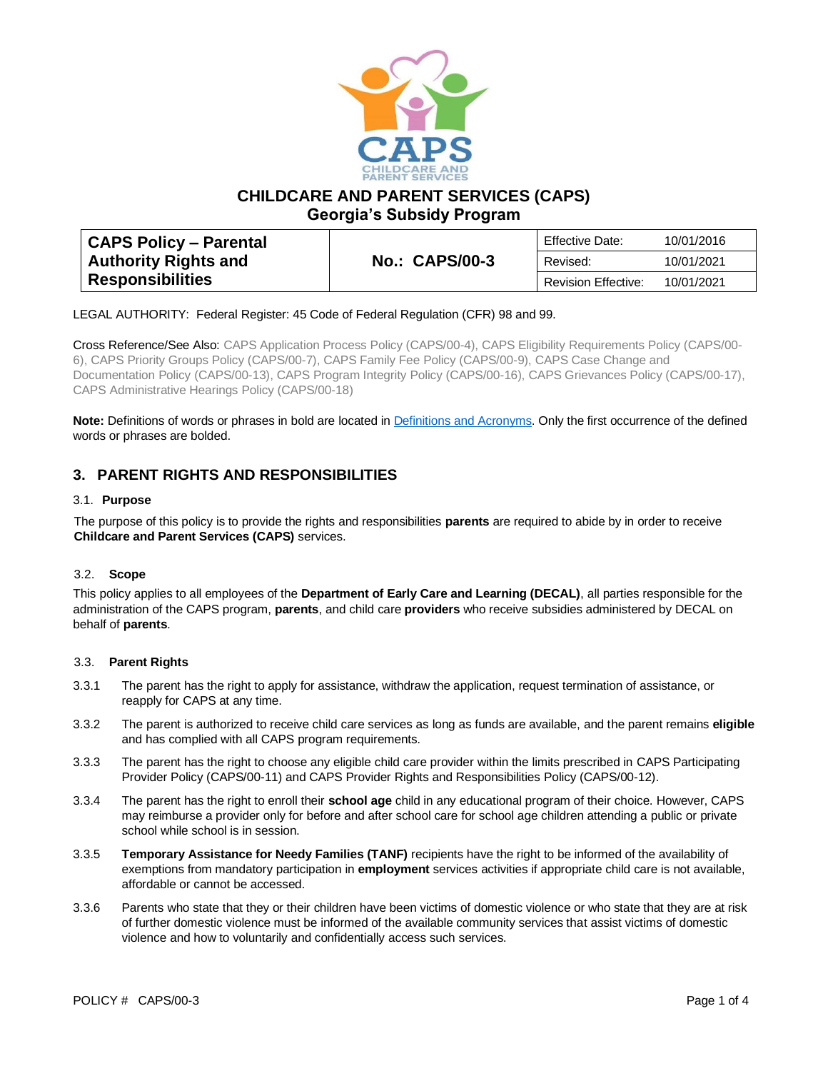

**CHILDCARE AND PARENT SERVICES (CAPS)**

**Georgia's Subsidy Program**

| CAPS Policy – Parental      |                       | Effective Date:            | 10/01/2016 |
|-----------------------------|-----------------------|----------------------------|------------|
| <b>Authority Rights and</b> | <b>No.: CAPS/00-3</b> | Revised:                   | 10/01/2021 |
| <b>Responsibilities</b>     |                       | <b>Revision Effective:</b> | 10/01/2021 |

LEGAL AUTHORITY: Federal Register: 45 Code of Federal Regulation (CFR) 98 and 99.

Cross Reference/See Also: CAPS Application Process Policy (CAPS/00-4), CAPS Eligibility Requirements Policy (CAPS/00- 6), CAPS Priority Groups Policy (CAPS/00-7), CAPS Family Fee Policy (CAPS/00-9), CAPS Case Change and Documentation Policy (CAPS/00-13), CAPS Program Integrity Policy (CAPS/00-16), CAPS Grievances Policy (CAPS/00-17), CAPS Administrative Hearings Policy (CAPS/00-18)

**Note:** Definitions of words or phrases in bold are located in [Definitions and Acronyms.](https://caps.decal.ga.gov/assets/downloads/CAPS/02-CAPS_Policy-Definitions%20and%20Acronyms.pdf) Only the first occurrence of the defined words or phrases are bolded.

# **3. PARENT RIGHTS AND RESPONSIBILITIES**

## 3.1. **Purpose**

The purpose of this policy is to provide the rights and responsibilities **parents** are required to abide by in order to receive **Childcare and Parent Services (CAPS)** services.

#### 3.2. **Scope**

This policy applies to all employees of the **Department of Early Care and Learning (DECAL)**, all parties responsible for the administration of the CAPS program, **parents**, and child care **providers** who receive subsidies administered by DECAL on behalf of **parents**.

## 3.3. **Parent Rights**

- 3.3.1 The parent has the right to apply for assistance, withdraw the application, request termination of assistance, or reapply for CAPS at any time.
- 3.3.2 The parent is authorized to receive child care services as long as funds are available, and the parent remains **eligible**  and has complied with all CAPS program requirements.
- 3.3.3 The parent has the right to choose any eligible child care provider within the limits prescribed i[n CAPS Participating](https://caps.decal.ga.gov/assets/downloads/CAPS/11-CAPS_Policy-Participating%20Providers.pdf)  [Provider Policy \(CAPS/00-11\)](https://caps.decal.ga.gov/assets/downloads/CAPS/11-CAPS_Policy-Participating%20Providers.pdf) an[d CAPS Provider Rights and Responsibilities Policy \(CAPS/00-12\).](https://caps.decal.ga.gov/assets/downloads/CAPS/12-CAPS_Policy-Child%20Care%20Provider%20Rights%20&%20Responsibilities.pdf)
- 3.3.4 The parent has the right to enroll their **school age** child in any educational program of their choice. However, CAPS may reimburse a provider only for before and after school care for school age children attending a public or private school while school is in session.
- 3.3.5 **Temporary Assistance for Needy Families (TANF)** recipients have the right to be informed of the availability of exemptions from mandatory participation in **employment** services activities if appropriate child care is not available, affordable or cannot be accessed.
- 3.3.6 Parents who state that they or their children have been victims of domestic violence or who state that they are at risk of further domestic violence must be informed of the available community services that assist victims of domestic violence and how to voluntarily and confidentially access such services.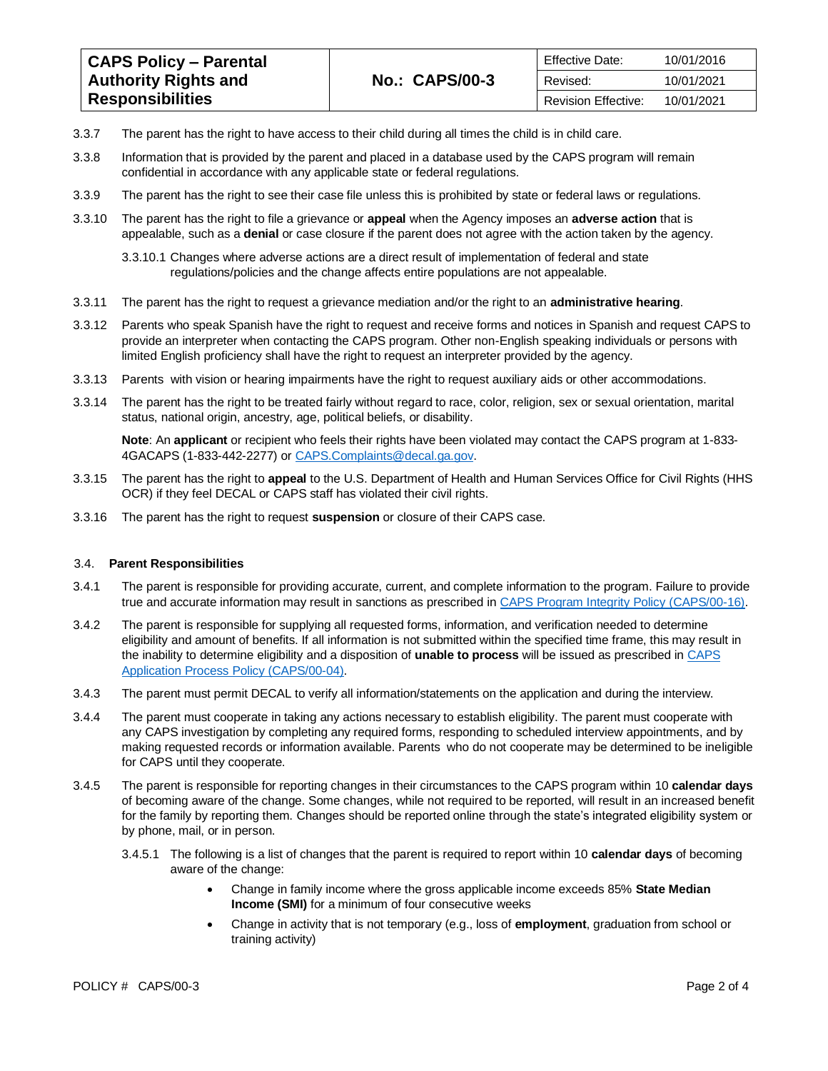| <b>CAPS Policy - Parental</b> | <b>No.: CAPS/00-3</b> | Effective Date:            | 10/01/2016 |
|-------------------------------|-----------------------|----------------------------|------------|
| <b>Authority Rights and</b>   |                       | Revised:                   | 10/01/2021 |
| <b>Responsibilities</b>       |                       | <b>Revision Effective:</b> | 10/01/2021 |

- 3.3.7 The parent has the right to have access to their child during all times the child is in child care.
- 3.3.8 Information that is provided by the parent and placed in a database used by the CAPS program will remain confidential in accordance with any applicable state or federal regulations.
- 3.3.9 The parent has the right to see their case file unless this is prohibited by state or federal laws or regulations.
- 3.3.10 The parent has the right to file a grievance or **appeal** when the Agency imposes an **adverse action** that is appealable, such as a **denial** or case closure if the parent does not agree with the action taken by the agency.
	- 3.3.10.1 Changes where adverse actions are a direct result of implementation of federal and state regulations/policies and the change affects entire populations are not appealable.
- 3.3.11 The parent has the right to request a grievance mediation and/or the right to an **administrative hearing**.
- 3.3.12 Parents who speak Spanish have the right to request and receive forms and notices in Spanish and request CAPS to provide an interpreter when contacting the CAPS program. Other non-English speaking individuals or persons with limited English proficiency shall have the right to request an interpreter provided by the agency.
- 3.3.13 Parents with vision or hearing impairments have the right to request auxiliary aids or other accommodations.
- 3.3.14 The parent has the right to be treated fairly without regard to race, color, religion, sex or sexual orientation, marital status, national origin, ancestry, age, political beliefs, or disability.

**Note**: An **applicant** or recipient who feels their rights have been violated may contact the CAPS program at 1-833- 4GACAPS (1-833-442-2277) or [CAPS.Complaints@decal.ga.gov.](mailto:CAPS.Complaints@decal.ga.gov) 

- 3.3.15 The parent has the right to **appeal** to the U.S. Department of Health and Human Services Office for Civil Rights (HHS OCR) if they feel DECAL or CAPS staff has violated their civil rights.
- 3.3.16 The parent has the right to request **suspension** or closure of their CAPS case.

#### 3.4. **Parent Responsibilities**

- 3.4.1 The parent is responsible for providing accurate, current, and complete information to the program. Failure to provide true and accurate information may result in sanctions as prescribed i[n CAPS Program Integrity Policy \(CAPS/00-16\).](https://caps.decal.ga.gov/assets/downloads/CAPS/16-CAPS_Policy-Program%20Integrity.pdf)
- 3.4.2 The parent is responsible for supplying all requested forms, information, and verification needed to determine eligibility and amount of benefits. If all information is not submitted within the specified time frame, this may result in the inability to determine eligibility and a disposition of **unable to process** will be issued as prescribed in [CAPS](https://caps.decal.ga.gov/assets/downloads/CAPS/04-CAPS_Policy-Application%20Process.pdf)  [Application Process Policy \(CAPS/00-04\).](https://caps.decal.ga.gov/assets/downloads/CAPS/04-CAPS_Policy-Application%20Process.pdf)
- 3.4.3 The parent must permit DECAL to verify all information/statements on the application and during the interview.
- 3.4.4 The parent must cooperate in taking any actions necessary to establish eligibility. The parent must cooperate with any CAPS investigation by completing any required forms, responding to scheduled interview appointments, and by making requested records or information available. Parents who do not cooperate may be determined to be ineligible for CAPS until they cooperate.
- 3.4.5 The parent is responsible for reporting changes in their circumstances to the CAPS program within 10 **calendar days** of becoming aware of the change. Some changes, while not required to be reported, will result in an increased benefit for the family by reporting them. Changes should be reported online through the state's integrated eligibility system or by phone, mail, or in person.
	- 3.4.5.1 The following is a list of changes that the parent is required to report within 10 **calendar days** of becoming aware of the change:
		- Change in family income where the gross applicable income exceeds 85% **State Median Income (SMI)** for a minimum of four consecutive weeks
		- Change in activity that is not temporary (e.g., loss of **employment**, graduation from school or training activity)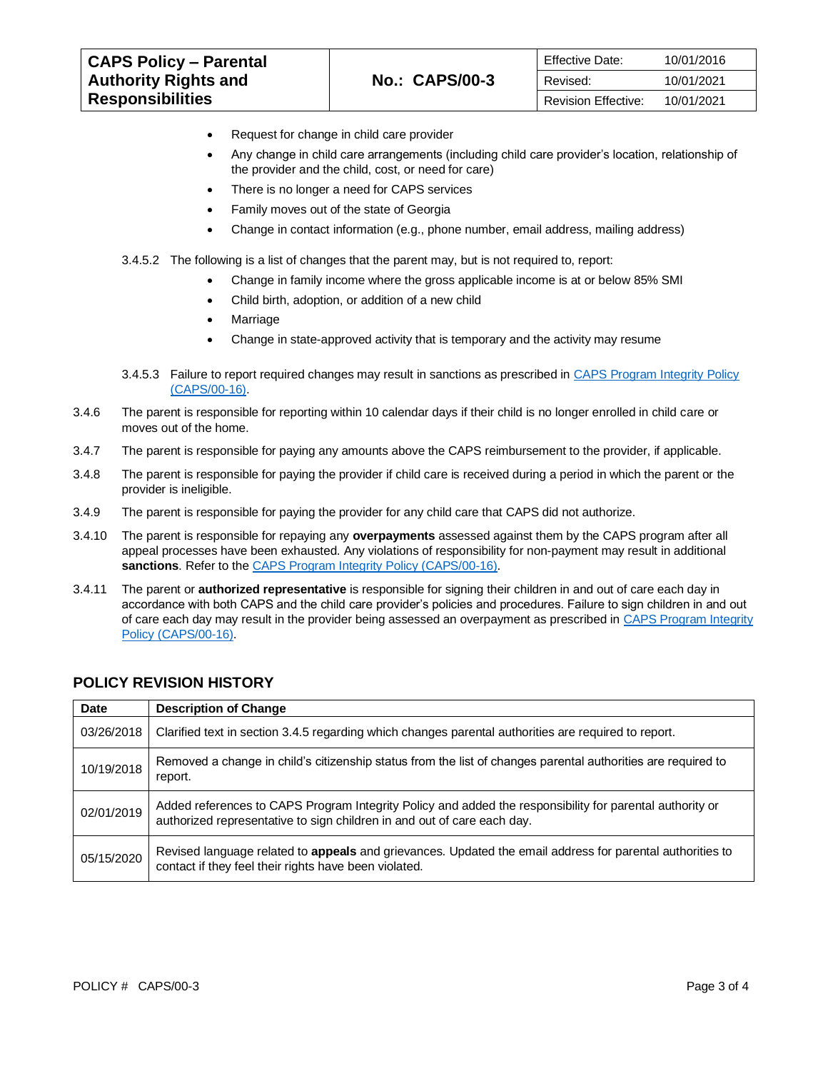| <b>CAPS Policy - Parental</b> |                       | <b>Effective Date:</b>     | 10/01/2016 |
|-------------------------------|-----------------------|----------------------------|------------|
| <b>Authority Rights and</b>   | <b>No.: CAPS/00-3</b> | Revised:                   | 10/01/2021 |
| <b>Responsibilities</b>       |                       | <b>Revision Effective:</b> | 10/01/2021 |

- Request for change in child care provider
- Any change in child care arrangements (including child care provider's location, relationship of the provider and the child, cost, or need for care)
- There is no longer a need for CAPS services
- Family moves out of the state of Georgia
- Change in contact information (e.g., phone number, email address, mailing address)
- 3.4.5.2 The following is a list of changes that the parent may, but is not required to, report:
	- Change in family income where the gross applicable income is at or below 85% SMI
	- Child birth, adoption, or addition of a new child
	- **Marriage**
	- Change in state-approved activity that is temporary and the activity may resume
- 3.4.5.3 Failure to report required changes may result in sanctions as prescribed in [CAPS Program Integrity Policy](https://caps.decal.ga.gov/assets/downloads/CAPS/16-CAPS_Policy-Program%20Integrity.pdf)  [\(CAPS/00-16\).](https://caps.decal.ga.gov/assets/downloads/CAPS/16-CAPS_Policy-Program%20Integrity.pdf)
- 3.4.6 The parent is responsible for reporting within 10 calendar days if their child is no longer enrolled in child care or moves out of the home.
- 3.4.7 The parent is responsible for paying any amounts above the CAPS reimbursement to the provider, if applicable.
- 3.4.8 The parent is responsible for paying the provider if child care is received during a period in which the parent or the provider is ineligible.
- 3.4.9 The parent is responsible for paying the provider for any child care that CAPS did not authorize.
- 3.4.10 The parent is responsible for repaying any **overpayments** assessed against them by the CAPS program after all appeal processes have been exhausted. Any violations of responsibility for non-payment may result in additional **sanctions**. Refer to th[e CAPS Program Integrity Policy \(CAPS/00-16\).](https://caps.decal.ga.gov/assets/downloads/CAPS/16-CAPS_Policy-Program%20Integrity.pdf)
- 3.4.11 The parent or **authorized representative** is responsible for signing their children in and out of care each day in accordance with both CAPS and the child care provider's policies and procedures. Failure to sign children in and out of care each day may result in the provider being assessed an overpayment as prescribed i[n CAPS Program Integrity](https://caps.decal.ga.gov/assets/downloads/CAPS/16-CAPS_Policy-Program%20Integrity.pdf)  [Policy \(CAPS/00-16\).](https://caps.decal.ga.gov/assets/downloads/CAPS/16-CAPS_Policy-Program%20Integrity.pdf)

| <b>Date</b> | <b>Description of Change</b>                                                                                                                                                        |
|-------------|-------------------------------------------------------------------------------------------------------------------------------------------------------------------------------------|
| 03/26/2018  | Clarified text in section 3.4.5 regarding which changes parental authorities are required to report.                                                                                |
| 10/19/2018  | Removed a change in child's citizenship status from the list of changes parental authorities are required to<br>report.                                                             |
| 02/01/2019  | Added references to CAPS Program Integrity Policy and added the responsibility for parental authority or<br>authorized representative to sign children in and out of care each day. |
| 05/15/2020  | Revised language related to appeals and grievances. Updated the email address for parental authorities to<br>contact if they feel their rights have been violated.                  |

## **POLICY REVISION HISTORY**